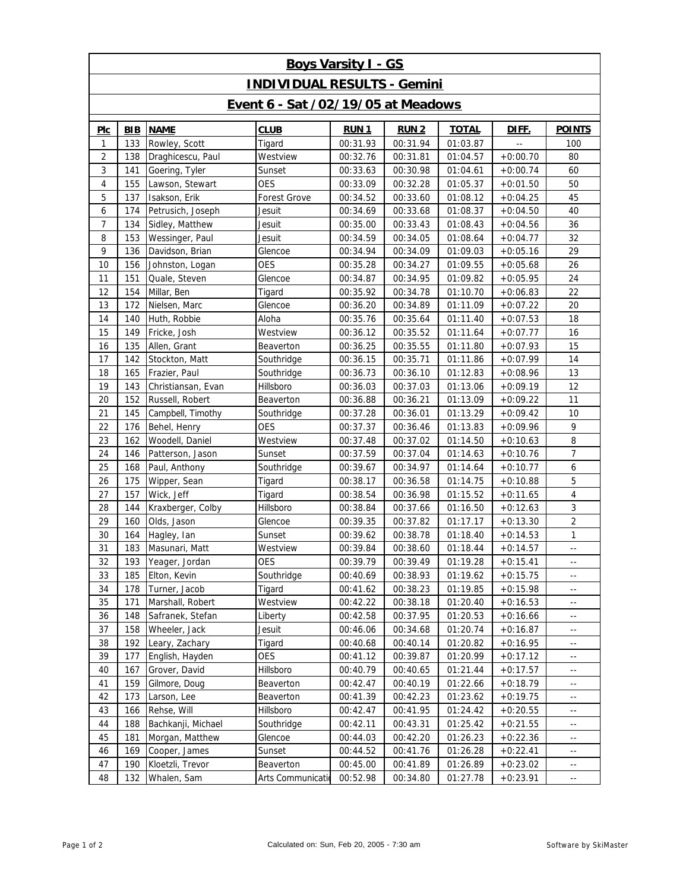| <b>Boys Varsity I - GS</b>                |            |                    |                     |             |             |              |                |                            |  |  |  |  |
|-------------------------------------------|------------|--------------------|---------------------|-------------|-------------|--------------|----------------|----------------------------|--|--|--|--|
| <b>INDIVIDUAL RESULTS - Gemini</b>        |            |                    |                     |             |             |              |                |                            |  |  |  |  |
| <b>Event 6 - Sat /02/19/05 at Meadows</b> |            |                    |                     |             |             |              |                |                            |  |  |  |  |
| PIc                                       | <b>BIB</b> | <b>NAME</b>        | <b>CLUB</b>         | <b>RUN1</b> | <b>RUN2</b> | <b>TOTAL</b> | DIFF.          | <b>POINTS</b>              |  |  |  |  |
| 1                                         | 133        | Rowley, Scott      | Tigard              | 00:31.93    | 00:31.94    | 01:03.87     | $\overline{a}$ | 100                        |  |  |  |  |
| 2                                         | 138        | Draghicescu, Paul  | Westview            | 00:32.76    | 00:31.81    | 01:04.57     | $+0:00.70$     | 80                         |  |  |  |  |
| 3                                         | 141        | Goering, Tyler     | Sunset              | 00:33.63    | 00:30.98    | 01:04.61     | $+0:00.74$     | 60                         |  |  |  |  |
| 4                                         | 155        | Lawson, Stewart    | <b>OES</b>          | 00:33.09    | 00:32.28    | 01:05.37     | $+0:01.50$     | 50                         |  |  |  |  |
| 5                                         | 137        | Isakson, Erik      | <b>Forest Grove</b> | 00:34.52    | 00:33.60    | 01:08.12     | $+0:04.25$     | 45                         |  |  |  |  |
| 6                                         | 174        | Petrusich, Joseph  | Jesuit              | 00:34.69    | 00:33.68    | 01:08.37     | $+0:04.50$     | 40                         |  |  |  |  |
| 7                                         | 134        | Sidley, Matthew    | Jesuit              | 00:35.00    | 00:33.43    | 01:08.43     | $+0:04.56$     | 36                         |  |  |  |  |
| 8                                         | 153        | Wessinger, Paul    | Jesuit              | 00:34.59    | 00:34.05    | 01:08.64     | $+0:04.77$     | 32                         |  |  |  |  |
| 9                                         | 136        | Davidson, Brian    | Glencoe             | 00:34.94    | 00:34.09    | 01:09.03     | $+0:05.16$     | 29                         |  |  |  |  |
| 10                                        | 156        | Johnston, Logan    | <b>OES</b>          | 00:35.28    | 00:34.27    | 01:09.55     | $+0:05.68$     | 26                         |  |  |  |  |
| 11                                        | 151        | Quale, Steven      | Glencoe             | 00:34.87    | 00:34.95    | 01:09.82     | $+0:05.95$     | 24                         |  |  |  |  |
| 12                                        | 154        | Millar, Ben        | Tigard              | 00:35.92    | 00:34.78    | 01:10.70     | $+0:06.83$     | 22                         |  |  |  |  |
| 13                                        | 172        | Nielsen, Marc      | Glencoe             | 00:36.20    | 00:34.89    | 01:11.09     | $+0:07.22$     | 20                         |  |  |  |  |
| 14                                        | 140        | Huth, Robbie       | Aloha               | 00:35.76    | 00:35.64    | 01:11.40     | $+0:07.53$     | 18                         |  |  |  |  |
| 15                                        | 149        | Fricke, Josh       | Westview            | 00:36.12    | 00:35.52    | 01:11.64     | $+0:07.77$     | 16                         |  |  |  |  |
| 16                                        | 135        | Allen, Grant       | Beaverton           | 00:36.25    | 00:35.55    | 01:11.80     | $+0:07.93$     | 15                         |  |  |  |  |
| 17                                        | 142        | Stockton, Matt     | Southridge          | 00:36.15    | 00:35.71    | 01:11.86     | $+0:07.99$     | 14                         |  |  |  |  |
| 18                                        | 165        | Frazier, Paul      | Southridge          | 00:36.73    | 00:36.10    | 01:12.83     | $+0:08.96$     | 13                         |  |  |  |  |
| 19                                        | 143        | Christiansan, Evan | Hillsboro           | 00:36.03    | 00:37.03    | 01:13.06     | $+0:09.19$     | 12                         |  |  |  |  |
| 20                                        | 152        | Russell, Robert    | Beaverton           | 00:36.88    | 00:36.21    | 01:13.09     | $+0:09.22$     | 11                         |  |  |  |  |
| 21                                        | 145        | Campbell, Timothy  | Southridge          | 00:37.28    | 00:36.01    | 01:13.29     | $+0:09.42$     | 10                         |  |  |  |  |
| 22                                        | 176        | Behel, Henry       | <b>OES</b>          | 00:37.37    | 00:36.46    | 01:13.83     | $+0:09.96$     | 9                          |  |  |  |  |
| 23                                        | 162        | Woodell, Daniel    | Westview            | 00:37.48    | 00:37.02    | 01:14.50     | $+0:10.63$     | 8                          |  |  |  |  |
| 24                                        | 146        | Patterson, Jason   | Sunset              | 00:37.59    | 00:37.04    | 01:14.63     | $+0:10.76$     | 7                          |  |  |  |  |
| 25                                        | 168        | Paul, Anthony      | Southridge          | 00:39.67    | 00:34.97    | 01:14.64     | $+0:10.77$     | 6                          |  |  |  |  |
| 26                                        | 175        | Wipper, Sean       | Tigard              | 00:38.17    | 00:36.58    | 01:14.75     | $+0:10.88$     | 5                          |  |  |  |  |
| 27                                        | 157        | Wick, Jeff         | Tigard              | 00:38.54    | 00:36.98    | 01:15.52     | $+0:11.65$     | $\overline{4}$             |  |  |  |  |
| 28                                        | 144        | Kraxberger, Colby  | Hillsboro           | 00:38.84    | 00:37.66    | 01:16.50     | $+0:12.63$     | 3                          |  |  |  |  |
| 29                                        | 160        | Olds, Jason        | Glencoe             | 00:39.35    | 00:37.82    | 01:17.17     | $+0:13.30$     | $\overline{2}$             |  |  |  |  |
| 30                                        | 164        | Hagley, Ian        | Sunset              | 00:39.62    | 00:38.78    | 01:18.40     | $+0:14.53$     | 1                          |  |  |  |  |
| 31                                        | 183        | Masunari, Matt     | Westview            | 00:39.84    | 00:38.60    | 01:18.44     | $+0:14.57$     | $\overline{\phantom{a}}$ . |  |  |  |  |
| 32                                        | 193        | Yeager, Jordan     | <b>OES</b>          | 00:39.79    | 00:39.49    | 01:19.28     | $+0:15.41$     | $\overline{\phantom{a}}$ . |  |  |  |  |
| 33                                        | 185        | Elton, Kevin       | Southridge          | 00:40.69    | 00:38.93    | 01:19.62     | $+0:15.75$     | --                         |  |  |  |  |
| 34                                        | 178        | Turner, Jacob      | Tigard              | 00:41.62    | 00:38.23    | 01:19.85     | $+0:15.98$     | $\overline{\phantom{a}}$ . |  |  |  |  |
| 35                                        | 171        | Marshall, Robert   | Westview            | 00:42.22    | 00:38.18    | 01:20.40     | $+0:16.53$     | $\overline{\phantom{a}}$   |  |  |  |  |
| 36                                        | 148        | Safranek, Stefan   | Liberty             | 00:42.58    | 00:37.95    | 01:20.53     | $+0:16.66$     | $\overline{\phantom{a}}$ . |  |  |  |  |
| 37                                        | 158        | Wheeler, Jack      | Jesuit              | 00:46.06    | 00:34.68    | 01:20.74     | $+0:16.87$     | $\overline{\phantom{a}}$ . |  |  |  |  |
| 38                                        | 192        | Leary, Zachary     | Tigard              | 00:40.68    | 00:40.14    | 01:20.82     | $+0:16.95$     | $\overline{\phantom{a}}$ . |  |  |  |  |
| 39                                        | 177        | English, Hayden    | <b>OES</b>          | 00:41.12    | 00:39.87    | 01:20.99     | $+0:17.12$     | $\overline{\phantom{a}}$ . |  |  |  |  |
| 40                                        | 167        | Grover, David      | Hillsboro           | 00:40.79    | 00:40.65    | 01:21.44     | $+0:17.57$     | $\overline{\phantom{a}}$ . |  |  |  |  |
| 41                                        | 159        | Gilmore, Doug      | Beaverton           | 00:42.47    | 00:40.19    | 01:22.66     | $+0:18.79$     | $\overline{\phantom{a}}$ . |  |  |  |  |
| 42                                        | 173        | Larson, Lee        | Beaverton           | 00:41.39    | 00:42.23    | 01:23.62     | $+0:19.75$     | $\overline{\phantom{a}}$ . |  |  |  |  |
| 43                                        | 166        | Rehse, Will        | Hillsboro           | 00:42.47    | 00:41.95    | 01:24.42     | $+0:20.55$     | $\overline{\phantom{a}}$   |  |  |  |  |
| 44                                        | 188        | Bachkanji, Michael | Southridge          | 00:42.11    | 00:43.31    | 01:25.42     | $+0:21.55$     | $\overline{\phantom{a}}$ . |  |  |  |  |
| 45                                        | 181        | Morgan, Matthew    | Glencoe             | 00:44.03    | 00:42.20    | 01:26.23     | $+0:22.36$     | $\overline{\phantom{a}}$   |  |  |  |  |
| 46                                        | 169        | Cooper, James      | Sunset              | 00:44.52    | 00:41.76    | 01:26.28     | $+0:22.41$     | $\overline{\phantom{a}}$   |  |  |  |  |
| 47                                        | 190        | Kloetzli, Trevor   | Beaverton           | 00:45.00    | 00:41.89    | 01:26.89     | $+0:23.02$     | $\overline{\phantom{a}}$   |  |  |  |  |
| 48                                        | 132        | Whalen, Sam        | Arts Communicatio   | 00:52.98    | 00:34.80    | 01:27.78     | $+0:23.91$     | $\overline{\phantom{a}}$ . |  |  |  |  |